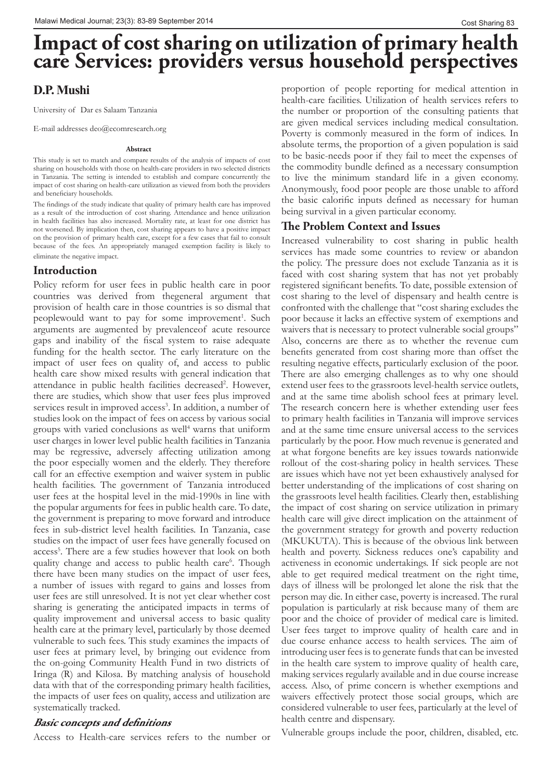# **Impact of cost sharing on utilization of primary health care Services: providers versus household perspectives**

# **D.P. Mushi**

University of Dar es Salaam Tanzania

E-mail addresses deo@ecomresearch.org

#### **Abstract**

This study is set to match and compare results of the analysis of impacts of cost sharing on households with those on health-care providers in two selected districts in Tanzania. The setting is intended to establish and compare concurrently the impact of cost sharing on health-care utilization as viewed from both the providers and beneficiary households.

The findings of the study indicate that quality of primary health care has improved as a result of the introduction of cost sharing. Attendance and hence utilization in health facilities has also increased. Mortality rate, at least for one district has not worsened. By implication then, cost sharing appears to have a positive impact on the provision of primary health care, except for a few cases that fail to consult because of the fees. An appropriately managed exemption facility is likely to eliminate the negative impact.

## **Introduction**

Policy reform for user fees in public health care in poor countries was derived from thegeneral argument that provision of health care in those countries is so dismal that peoplewould want to pay for some improvement<sup>1</sup>. Such arguments are augmented by prevalenceof acute resource gaps and inability of the fiscal system to raise adequate funding for the health sector. The early literature on the impact of user fees on quality of, and access to public health care show mixed results with general indication that attendance in public health facilities decreased<sup>2</sup>. However, there are studies, which show that user fees plus improved services result in improved access<sup>3</sup>. In addition, a number of studies look on the impact of fees on access by various social groups with varied conclusions as well<sup>4</sup> warns that uniform user charges in lower level public health facilities in Tanzania may be regressive, adversely affecting utilization among the poor especially women and the elderly. They therefore call for an effective exemption and waiver system in public health facilities. The government of Tanzania introduced user fees at the hospital level in the mid-1990s in line with the popular arguments for fees in public health care. To date, the government is preparing to move forward and introduce fees in sub-district level health facilities. In Tanzania, case studies on the impact of user fees have generally focused on access<sup>5</sup>. There are a few studies however that look on both quality change and access to public health care<sup>6</sup>. Though there have been many studies on the impact of user fees, a number of issues with regard to gains and losses from user fees are still unresolved. It is not yet clear whether cost sharing is generating the anticipated impacts in terms of quality improvement and universal access to basic quality health care at the primary level, particularly by those deemed vulnerable to such fees. This study examines the impacts of user fees at primary level, by bringing out evidence from the on-going Community Health Fund in two districts of Iringa (R) and Kilosa. By matching analysis of household data with that of the corresponding primary health facilities, the impacts of user fees on quality, access and utilization are systematically tracked.

## **Basic concepts and definitions**

Access to Health-care services refers to the number or

proportion of people reporting for medical attention in health-care facilities. Utilization of health services refers to the number or proportion of the consulting patients that are given medical services including medical consultation. Poverty is commonly measured in the form of indices. In absolute terms, the proportion of a given population is said to be basic-needs poor if they fail to meet the expenses of the commodity bundle defined as a necessary consumption to live the minimum standard life in a given economy. Anonymously, food poor people are those unable to afford the basic calorific inputs defined as necessary for human being survival in a given particular economy.

# **The Problem Context and Issues**

Increased vulnerability to cost sharing in public health services has made some countries to review or abandon the policy. The pressure does not exclude Tanzania as it is faced with cost sharing system that has not yet probably registered significant benefits. To date, possible extension of cost sharing to the level of dispensary and health centre is confronted with the challenge that "cost sharing excludes the poor because it lacks an effective system of exemptions and waivers that is necessary to protect vulnerable social groups" Also, concerns are there as to whether the revenue cum benefits generated from cost sharing more than offset the resulting negative effects, particularly exclusion of the poor. There are also emerging challenges as to why one should extend user fees to the grassroots level-health service outlets, and at the same time abolish school fees at primary level. The research concern here is whether extending user fees to primary health facilities in Tanzania will improve services and at the same time ensure universal access to the services particularly by the poor. How much revenue is generated and at what forgone benefits are key issues towards nationwide rollout of the cost-sharing policy in health services. These are issues which have not yet been exhaustively analysed for better understanding of the implications of cost sharing on the grassroots level health facilities. Clearly then, establishing the impact of cost sharing on service utilization in primary health care will give direct implication on the attainment of the government strategy for growth and poverty reduction (MKUKUTA). This is because of the obvious link between health and poverty. Sickness reduces one's capability and activeness in economic undertakings. If sick people are not able to get required medical treatment on the right time, days of illness will be prolonged let alone the risk that the person may die. In either case, poverty is increased. The rural population is particularly at risk because many of them are poor and the choice of provider of medical care is limited. User fees target to improve quality of health care and in due course enhance access to health services. The aim of introducing user fees is to generate funds that can be invested in the health care system to improve quality of health care, making services regularly available and in due course increase access. Also, of prime concern is whether exemptions and waivers effectively protect those social groups, which are considered vulnerable to user fees, particularly at the level of health centre and dispensary.

Vulnerable groups include the poor, children, disabled, etc.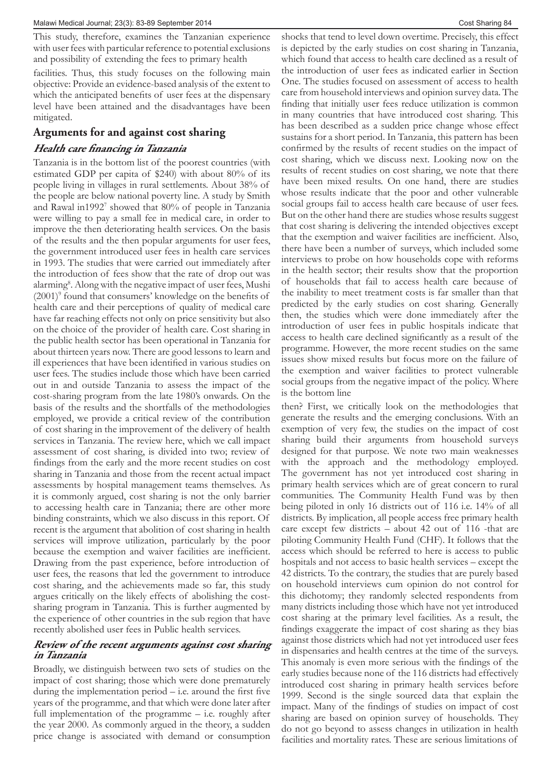This study, therefore, examines the Tanzanian experience with user fees with particular reference to potential exclusions and possibility of extending the fees to primary health

facilities. Thus, this study focuses on the following main objective: Provide an evidence-based analysis of the extent to which the anticipated benefits of user fees at the dispensary level have been attained and the disadvantages have been mitigated.

## **Arguments for and against cost sharing**

## **Health care financing in Tanzania**

Tanzania is in the bottom list of the poorest countries (with estimated GDP per capita of \$240) with about 80% of its people living in villages in rural settlements. About 38% of the people are below national poverty line. A study by Smith and Rawal in1992<sup>7</sup> showed that 80% of people in Tanzania were willing to pay a small fee in medical care, in order to improve the then deteriorating health services. On the basis of the results and the then popular arguments for user fees, the government introduced user fees in health care services in 1993. The studies that were carried out immediately after the introduction of fees show that the rate of drop out was alarming<sup>8</sup>. Along with the negative impact of user fees, Mushi (2001)<sup>9</sup> found that consumers' knowledge on the benefits of health care and their perceptions of quality of medical care have far reaching effects not only on price sensitivity but also on the choice of the provider of health care. Cost sharing in the public health sector has been operational in Tanzania for about thirteen years now. There are good lessons to learn and ill experiences that have been identified in various studies on user fees. The studies include those which have been carried out in and outside Tanzania to assess the impact of the cost-sharing program from the late 1980's onwards. On the basis of the results and the shortfalls of the methodologies employed, we provide a critical review of the contribution of cost sharing in the improvement of the delivery of health services in Tanzania. The review here, which we call impact assessment of cost sharing, is divided into two; review of findings from the early and the more recent studies on cost sharing in Tanzania and those from the recent actual impact assessments by hospital management teams themselves. As it is commonly argued, cost sharing is not the only barrier to accessing health care in Tanzania; there are other more binding constraints, which we also discuss in this report. Of recent is the argument that abolition of cost sharing in health services will improve utilization, particularly by the poor because the exemption and waiver facilities are inefficient. Drawing from the past experience, before introduction of user fees, the reasons that led the government to introduce cost sharing, and the achievements made so far, this study argues critically on the likely effects of abolishing the costsharing program in Tanzania. This is further augmented by the experience of other countries in the sub region that have recently abolished user fees in Public health services.

## **Review of the recent arguments against cost sharing in Tanzania**

Broadly, we distinguish between two sets of studies on the impact of cost sharing; those which were done prematurely during the implementation period – i.e. around the first five years of the programme, and that which were done later after full implementation of the programme – i.e. roughly after the year 2000. As commonly argued in the theory, a sudden price change is associated with demand or consumption

shocks that tend to level down overtime. Precisely, this effect is depicted by the early studies on cost sharing in Tanzania, which found that access to health care declined as a result of the introduction of user fees as indicated earlier in Section One. The studies focused on assessment of access to health care from household interviews and opinion survey data. The finding that initially user fees reduce utilization is common in many countries that have introduced cost sharing. This has been described as a sudden price change whose effect sustains for a short period. In Tanzania, this pattern has been confirmed by the results of recent studies on the impact of cost sharing, which we discuss next. Looking now on the results of recent studies on cost sharing, we note that there have been mixed results. On one hand, there are studies whose results indicate that the poor and other vulnerable social groups fail to access health care because of user fees. But on the other hand there are studies whose results suggest that cost sharing is delivering the intended objectives except that the exemption and waiver facilities are inefficient. Also, there have been a number of surveys, which included some interviews to probe on how households cope with reforms in the health sector; their results show that the proportion of households that fail to access health care because of the inability to meet treatment costs is far smaller than that predicted by the early studies on cost sharing. Generally then, the studies which were done immediately after the introduction of user fees in public hospitals indicate that access to health care declined significantly as a result of the programme. However, the more recent studies on the same issues show mixed results but focus more on the failure of the exemption and waiver facilities to protect vulnerable social groups from the negative impact of the policy. Where is the bottom line

then? First, we critically look on the methodologies that generate the results and the emerging conclusions. With an exemption of very few, the studies on the impact of cost sharing build their arguments from household surveys designed for that purpose. We note two main weaknesses with the approach and the methodology employed. The government has not yet introduced cost sharing in primary health services which are of great concern to rural communities. The Community Health Fund was by then being piloted in only 16 districts out of 116 i.e. 14% of all districts. By implication, all people access free primary health care except few districts – about 42 out of 116 -that are piloting Community Health Fund (CHF). It follows that the access which should be referred to here is access to public hospitals and not access to basic health services – except the 42 districts. To the contrary, the studies that are purely based on household interviews cum opinion do not control for this dichotomy; they randomly selected respondents from many districts including those which have not yet introduced cost sharing at the primary level facilities. As a result, the findings exaggerate the impact of cost sharing as they bias against those districts which had not yet introduced user fees in dispensaries and health centres at the time of the surveys. This anomaly is even more serious with the findings of the early studies because none of the 116 districts had effectively introduced cost sharing in primary health services before 1999. Second is the single sourced data that explain the impact. Many of the findings of studies on impact of cost sharing are based on opinion survey of households. They do not go beyond to assess changes in utilization in health facilities and mortality rates. These are serious limitations of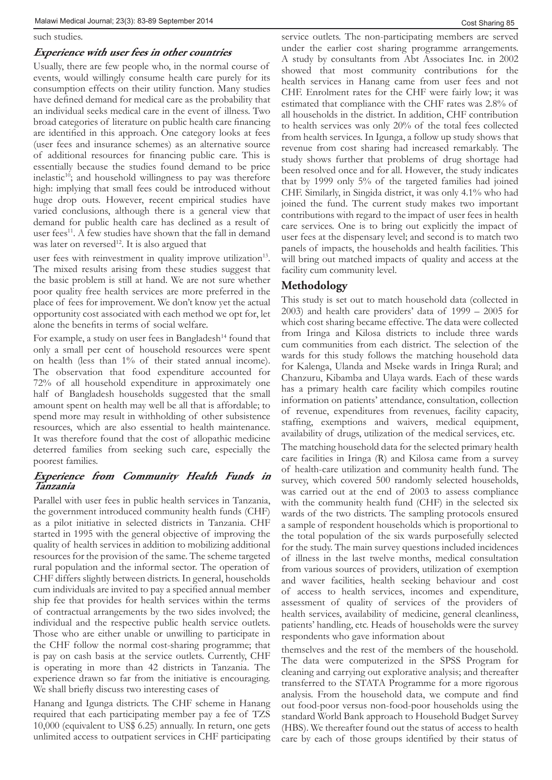#### such studies.

## **Experience with user fees in other countries**

Usually, there are few people who, in the normal course of events, would willingly consume health care purely for its consumption effects on their utility function. Many studies have defined demand for medical care as the probability that an individual seeks medical care in the event of illness. Two broad categories of literature on public health care financing are identified in this approach. One category looks at fees (user fees and insurance schemes) as an alternative source of additional resources for financing public care. This is essentially because the studies found demand to be price inelastic<sup>10</sup>; and household willingness to pay was therefore high: implying that small fees could be introduced without huge drop outs. However, recent empirical studies have varied conclusions, although there is a general view that demand for public health care has declined as a result of user fees<sup>11</sup>. A few studies have shown that the fall in demand was later on reversed<sup>12</sup>. It is also argued that

user fees with reinvestment in quality improve utilization<sup>13</sup>. The mixed results arising from these studies suggest that the basic problem is still at hand. We are not sure whether poor quality free health services are more preferred in the place of fees for improvement. We don't know yet the actual opportunity cost associated with each method we opt for, let alone the benefits in terms of social welfare.

For example, a study on user fees in Bangladesh<sup>14</sup> found that only a small per cent of household resources were spent on health (less than 1% of their stated annual income). The observation that food expenditure accounted for 72% of all household expenditure in approximately one half of Bangladesh households suggested that the small amount spent on health may well be all that is affordable; to spend more may result in withholding of other subsistence resources, which are also essential to health maintenance. It was therefore found that the cost of allopathic medicine deterred families from seeking such care, especially the poorest families.

## **Experience from Community Health Funds in Tanzania**

Parallel with user fees in public health services in Tanzania, the government introduced community health funds (CHF) as a pilot initiative in selected districts in Tanzania. CHF started in 1995 with the general objective of improving the quality of health services in addition to mobilizing additional resources for the provision of the same. The scheme targeted rural population and the informal sector. The operation of CHF differs slightly between districts. In general, households cum individuals are invited to pay a specified annual member ship fee that provides for health services within the terms of contractual arrangements by the two sides involved; the individual and the respective public health service outlets. Those who are either unable or unwilling to participate in the CHF follow the normal cost-sharing programme; that is pay on cash basis at the service outlets. Currently, CHF is operating in more than 42 districts in Tanzania. The experience drawn so far from the initiative is encouraging. We shall briefly discuss two interesting cases of

Hanang and Igunga districts. The CHF scheme in Hanang required that each participating member pay a fee of TZS 10,000 (equivalent to US\$ 6.25) annually. In return, one gets unlimited access to outpatient services in CHF participating service outlets. The non-participating members are served under the earlier cost sharing programme arrangements. A study by consultants from Abt Associates Inc. in 2002 showed that most community contributions for the health services in Hanang came from user fees and not CHF. Enrolment rates for the CHF were fairly low; it was estimated that compliance with the CHF rates was 2.8% of all households in the district. In addition, CHF contribution to health services was only 20% of the total fees collected from health services. In Igunga, a follow up study shows that revenue from cost sharing had increased remarkably. The study shows further that problems of drug shortage had been resolved once and for all. However, the study indicates that by 1999 only 5% of the targeted families had joined CHF. Similarly, in Singida district, it was only 4.1% who had joined the fund. The current study makes two important contributions with regard to the impact of user fees in health care services. One is to bring out explicitly the impact of user fees at the dispensary level; and second is to match two panels of impacts, the households and health facilities. This will bring out matched impacts of quality and access at the facility cum community level.

# **Methodology**

This study is set out to match household data (collected in 2003) and health care providers' data of 1999 – 2005 for which cost sharing became effective. The data were collected from Iringa and Kilosa districts to include three wards cum communities from each district. The selection of the wards for this study follows the matching household data for Kalenga, Ulanda and Mseke wards in Iringa Rural; and Chanzuru, Kibamba and Ulaya wards. Each of these wards has a primary health care facility which compiles routine information on patients' attendance, consultation, collection of revenue, expenditures from revenues, facility capacity, staffing, exemptions and waivers, medical equipment, availability of drugs, utilization of the medical services, etc.

The matching household data for the selected primary health care facilities in Iringa (R) and Kilosa came from a survey of health-care utilization and community health fund. The survey, which covered 500 randomly selected households, was carried out at the end of 2003 to assess compliance with the community health fund (CHF) in the selected six wards of the two districts. The sampling protocols ensured a sample of respondent households which is proportional to the total population of the six wards purposefully selected for the study. The main survey questions included incidences of illness in the last twelve months, medical consultation from various sources of providers, utilization of exemption and waver facilities, health seeking behaviour and cost of access to health services, incomes and expenditure, assessment of quality of services of the providers of health services, availability of medicine, general cleanliness, patients' handling, etc. Heads of households were the survey respondents who gave information about

themselves and the rest of the members of the household. The data were computerized in the SPSS Program for cleaning and carrying out explorative analysis; and thereafter transferred to the STATA Programme for a more rigorous analysis. From the household data, we compute and find out food-poor versus non-food-poor households using the standard World Bank approach to Household Budget Survey (HBS). We thereafter found out the status of access to health care by each of those groups identified by their status of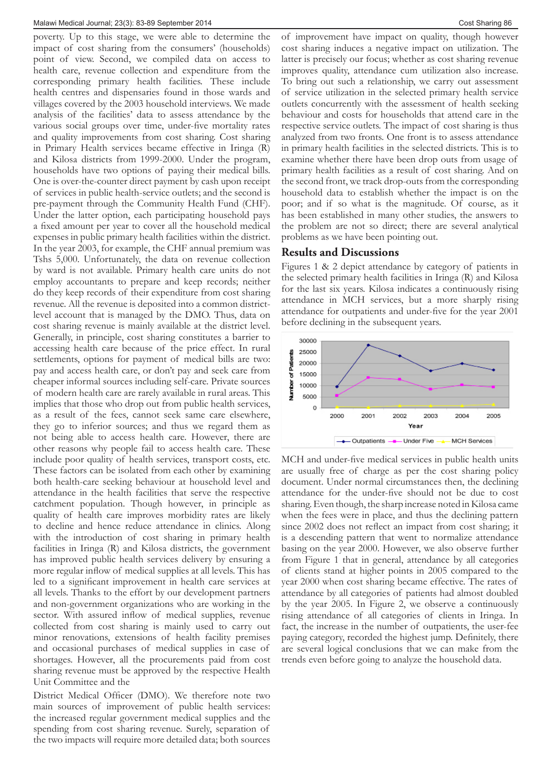poverty. Up to this stage, we were able to determine the impact of cost sharing from the consumers' (households) point of view. Second, we compiled data on access to health care, revenue collection and expenditure from the corresponding primary health facilities. These include health centres and dispensaries found in those wards and villages covered by the 2003 household interviews. We made analysis of the facilities' data to assess attendance by the various social groups over time, under-five mortality rates and quality improvements from cost sharing. Cost sharing in Primary Health services became effective in Iringa (R) and Kilosa districts from 1999-2000. Under the program, households have two options of paying their medical bills. One is over-the-counter direct payment by cash upon receipt of services in public health-service outlets; and the second is pre-payment through the Community Health Fund (CHF). Under the latter option, each participating household pays a fixed amount per year to cover all the household medical expenses in public primary health facilities within the district. In the year 2003, for example, the CHF annual premium was Tshs 5,000. Unfortunately, the data on revenue collection by ward is not available. Primary health care units do not employ accountants to prepare and keep records; neither do they keep records of their expenditure from cost sharing revenue. All the revenue is deposited into a common districtlevel account that is managed by the DMO. Thus, data on cost sharing revenue is mainly available at the district level. Generally, in principle, cost sharing constitutes a barrier to accessing health care because of the price effect. In rural settlements, options for payment of medical bills are two: pay and access health care, or don't pay and seek care from cheaper informal sources including self-care. Private sources of modern health care are rarely available in rural areas. This implies that those who drop out from public health services, as a result of the fees, cannot seek same care elsewhere, they go to inferior sources; and thus we regard them as not being able to access health care. However, there are other reasons why people fail to access health care. These include poor quality of health services, transport costs, etc. These factors can be isolated from each other by examining both health-care seeking behaviour at household level and attendance in the health facilities that serve the respective catchment population. Though however, in principle as quality of health care improves morbidity rates are likely to decline and hence reduce attendance in clinics. Along with the introduction of cost sharing in primary health facilities in Iringa (R) and Kilosa districts, the government has improved public health services delivery by ensuring a more regular inflow of medical supplies at all levels. This has led to a significant improvement in health care services at all levels. Thanks to the effort by our development partners and non-government organizations who are working in the sector. With assured inflow of medical supplies, revenue collected from cost sharing is mainly used to carry out minor renovations, extensions of health facility premises and occasional purchases of medical supplies in case of shortages. However, all the procurements paid from cost sharing revenue must be approved by the respective Health Unit Committee and the

District Medical Officer (DMO). We therefore note two main sources of improvement of public health services: the increased regular government medical supplies and the spending from cost sharing revenue. Surely, separation of the two impacts will require more detailed data; both sources

of improvement have impact on quality, though however cost sharing induces a negative impact on utilization. The latter is precisely our focus; whether as cost sharing revenue improves quality, attendance cum utilization also increase. To bring out such a relationship, we carry out assessment of service utilization in the selected primary health service outlets concurrently with the assessment of health seeking behaviour and costs for households that attend care in the respective service outlets. The impact of cost sharing is thus analyzed from two fronts. One front is to assess attendance in primary health facilities in the selected districts. This is to examine whether there have been drop outs from usage of primary health facilities as a result of cost sharing. And on the second front, we track drop-outs from the corresponding household data to establish whether the impact is on the poor; and if so what is the magnitude. Of course, as it has been established in many other studies, the answers to the problem are not so direct; there are several analytical problems as we have been pointing out.

## **Results and Discussions**

Figures 1 & 2 depict attendance by category of patients in the selected primary health facilities in Iringa (R) and Kilosa for the last six years. Kilosa indicates a continuously rising attendance in MCH services, but a more sharply rising attendance for outpatients and under-five for the year 2001 before declining in the subsequent years.



MCH and under-five medical services in public health units are usually free of charge as per the cost sharing policy document. Under normal circumstances then, the declining attendance for the under-five should not be due to cost sharing. Even though, the sharp increase noted in Kilosa came when the fees were in place, and thus the declining pattern since 2002 does not reflect an impact from cost sharing; it is a descending pattern that went to normalize attendance basing on the year 2000. However, we also observe further from Figure 1 that in general, attendance by all categories of clients stand at higher points in 2005 compared to the year 2000 when cost sharing became effective. The rates of attendance by all categories of patients had almost doubled by the year 2005. In Figure 2, we observe a continuously rising attendance of all categories of clients in Iringa. In fact, the increase in the number of outpatients, the user-fee paying category, recorded the highest jump. Definitely, there are several logical conclusions that we can make from the trends even before going to analyze the household data.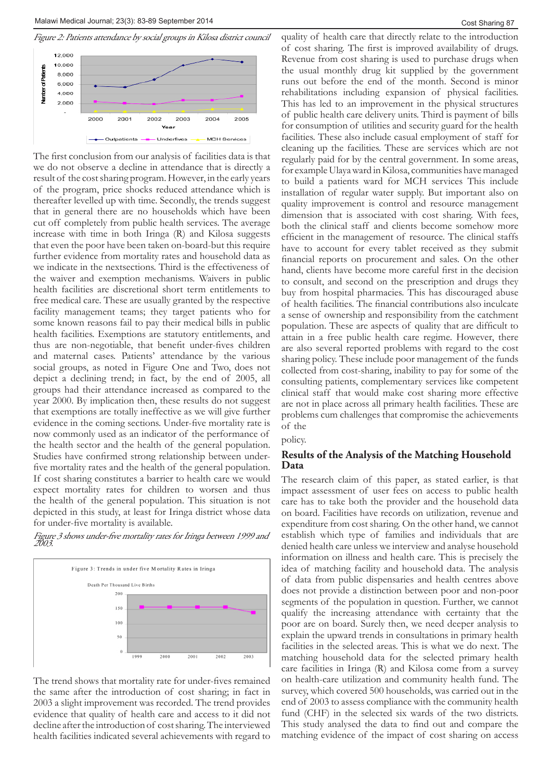

The first conclusion from our analysis of facilities data is that we do not observe a decline in attendance that is directly a result of the cost sharing program. However, in the early years of the program, price shocks reduced attendance which is thereafter levelled up with time. Secondly, the trends suggest that in general there are no households which have been cut off completely from public health services. The average increase with time in both Iringa (R) and Kilosa suggests that even the poor have been taken on-board-but this require further evidence from mortality rates and household data as we indicate in the nextsections. Third is the effectiveness of the waiver and exemption mechanisms. Waivers in public health facilities are discretional short term entitlements to free medical care. These are usually granted by the respective facility management teams; they target patients who for some known reasons fail to pay their medical bills in public health facilities. Exemptions are statutory entitlements, and thus are non-negotiable, that benefit under-fives children and maternal cases. Patients' attendance by the various social groups, as noted in Figure One and Two, does not depict a declining trend; in fact, by the end of 2005, all groups had their attendance increased as compared to the year 2000. By implication then, these results do not suggest that exemptions are totally ineffective as we will give further evidence in the coming sections. Under-five mortality rate is now commonly used as an indicator of the performance of the health sector and the health of the general population. Studies have confirmed strong relationship between underfive mortality rates and the health of the general population. If cost sharing constitutes a barrier to health care we would expect mortality rates for children to worsen and thus the health of the general population. This situation is not depicted in this study, at least for Iringa district whose data for under-five mortality is available.

Figure 3 shows under-five mortality rates for Iringa between 1999 and 2003.



The trend shows that mortality rate for under-fives remained the same after the introduction of cost sharing; in fact in 2003 a slight improvement was recorded. The trend provides evidence that quality of health care and access to it did not decline after the introduction of cost sharing. The interviewed health facilities indicated several achievements with regard to

quality of health care that directly relate to the introduction of cost sharing. The first is improved availability of drugs. Revenue from cost sharing is used to purchase drugs when the usual monthly drug kit supplied by the government runs out before the end of the month. Second is minor rehabilitations including expansion of physical facilities. This has led to an improvement in the physical structures of public health care delivery units. Third is payment of bills for consumption of utilities and security guard for the health facilities. These also include casual employment of staff for cleaning up the facilities. These are services which are not regularly paid for by the central government. In some areas, for example Ulaya ward in Kilosa, communities have managed to build a patients ward for MCH services This include installation of regular water supply. But important also on quality improvement is control and resource management dimension that is associated with cost sharing. With fees, both the clinical staff and clients become somehow more efficient in the management of resource. The clinical staffs have to account for every tablet received as they submit financial reports on procurement and sales. On the other hand, clients have become more careful first in the decision to consult, and second on the prescription and drugs they buy from hospital pharmacies. This has discouraged abuse of health facilities. The financial contributions also inculcate a sense of ownership and responsibility from the catchment population. These are aspects of quality that are difficult to attain in a free public health care regime. However, there are also several reported problems with regard to the cost sharing policy. These include poor management of the funds collected from cost-sharing, inability to pay for some of the consulting patients, complementary services like competent clinical staff that would make cost sharing more effective are not in place across all primary health facilities. These are problems cum challenges that compromise the achievements of the

policy.

## **Results of the Analysis of the Matching Household Data**

The research claim of this paper, as stated earlier, is that impact assessment of user fees on access to public health care has to take both the provider and the household data on board. Facilities have records on utilization, revenue and expenditure from cost sharing. On the other hand, we cannot establish which type of families and individuals that are denied health care unless we interview and analyse household information on illness and health care. This is precisely the idea of matching facility and household data. The analysis of data from public dispensaries and health centres above does not provide a distinction between poor and non-poor segments of the population in question. Further, we cannot qualify the increasing attendance with certainty that the poor are on board. Surely then, we need deeper analysis to explain the upward trends in consultations in primary health facilities in the selected areas. This is what we do next. The matching household data for the selected primary health care facilities in Iringa (R) and Kilosa come from a survey on health-care utilization and community health fund. The survey, which covered 500 households, was carried out in the end of 2003 to assess compliance with the community health fund (CHF) in the selected six wards of the two districts. This study analysed the data to find out and compare the matching evidence of the impact of cost sharing on access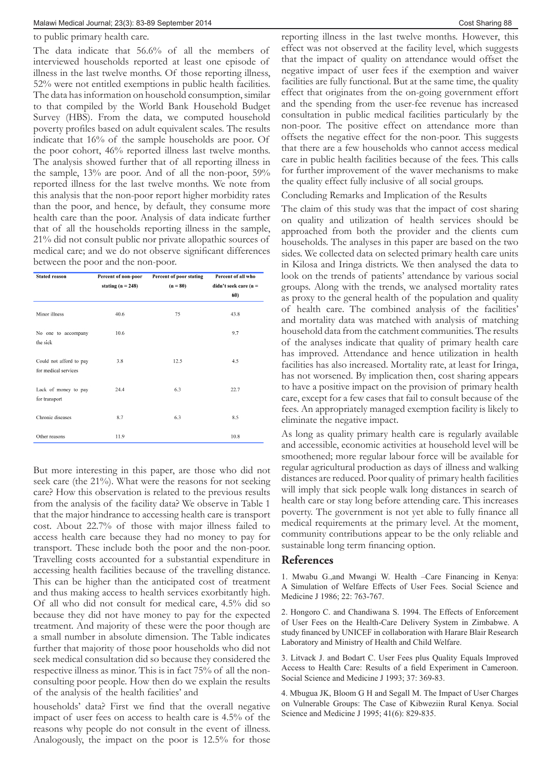#### to public primary health care.

The data indicate that 56.6% of all the members of interviewed households reported at least one episode of illness in the last twelve months. Of those reporting illness, 52% were not entitled exemptions in public health facilities. The data has information on household consumption, similar to that compiled by the World Bank Household Budget Survey (HBS). From the data, we computed household poverty profiles based on adult equivalent scales. The results indicate that 16% of the sample households are poor. Of the poor cohort, 46% reported illness last twelve months. The analysis showed further that of all reporting illness in the sample, 13% are poor. And of all the non-poor, 59% reported illness for the last twelve months. We note from this analysis that the non-poor report higher morbidity rates than the poor, and hence, by default, they consume more health care than the poor. Analysis of data indicate further that of all the households reporting illness in the sample, 21% did not consult public nor private allopathic sources of medical care; and we do not observe significant differences between the poor and the non-poor.

| <b>Stated reason</b>                            | Percent of non-poor<br>stating $(n = 248)$ | Percent of poor stating<br>$(n = 80)$ | Percent of all who<br>didn't seek care (n = |
|-------------------------------------------------|--------------------------------------------|---------------------------------------|---------------------------------------------|
|                                                 |                                            |                                       | 60)                                         |
| Minor illness                                   | 40.6                                       | 75                                    | 43.8                                        |
| No one to accompany<br>the sick                 | 10.6                                       |                                       | 9.7                                         |
| Could not afford to pay<br>for medical services | 3.8                                        | 12.5                                  | 4.5                                         |
| Lack of money to pay<br>for transport           | 24.4                                       | 6.3                                   | 22.7                                        |
| Chronic diseases                                | 8.7                                        | 6.3                                   | 8.5                                         |
| Other reasons                                   | 11.9                                       |                                       | 10.8                                        |

But more interesting in this paper, are those who did not seek care (the 21%). What were the reasons for not seeking care? How this observation is related to the previous results from the analysis of the facility data? We observe in Table 1 that the major hindrance to accessing health care is transport cost. About 22.7% of those with major illness failed to access health care because they had no money to pay for transport. These include both the poor and the non-poor. Travelling costs accounted for a substantial expenditure in accessing health facilities because of the travelling distance. This can be higher than the anticipated cost of treatment and thus making access to health services exorbitantly high. Of all who did not consult for medical care, 4.5% did so because they did not have money to pay for the expected treatment. And majority of these were the poor though are a small number in absolute dimension. The Table indicates further that majority of those poor households who did not seek medical consultation did so because they considered the respective illness as minor. This is in fact 75% of all the nonconsulting poor people. How then do we explain the results of the analysis of the health facilities' and

households' data? First we find that the overall negative impact of user fees on access to health care is 4.5% of the reasons why people do not consult in the event of illness. Analogously, the impact on the poor is 12.5% for those

reporting illness in the last twelve months. However, this effect was not observed at the facility level, which suggests that the impact of quality on attendance would offset the negative impact of user fees if the exemption and waiver facilities are fully functional. But at the same time, the quality effect that originates from the on-going government effort and the spending from the user-fee revenue has increased consultation in public medical facilities particularly by the non-poor. The positive effect on attendance more than offsets the negative effect for the non-poor. This suggests that there are a few households who cannot access medical care in public health facilities because of the fees. This calls for further improvement of the waver mechanisms to make the quality effect fully inclusive of all social groups.

Concluding Remarks and Implication of the Results

The claim of this study was that the impact of cost sharing on quality and utilization of health services should be approached from both the provider and the clients cum households. The analyses in this paper are based on the two sides. We collected data on selected primary health care units in Kilosa and Iringa districts. We then analysed the data to look on the trends of patients' attendance by various social groups. Along with the trends, we analysed mortality rates as proxy to the general health of the population and quality of health care. The combined analysis of the facilities' and mortality data was matched with analysis of matching household data from the catchment communities. The results of the analyses indicate that quality of primary health care has improved. Attendance and hence utilization in health facilities has also increased. Mortality rate, at least for Iringa, has not worsened. By implication then, cost sharing appears to have a positive impact on the provision of primary health care, except for a few cases that fail to consult because of the fees. An appropriately managed exemption facility is likely to eliminate the negative impact.

As long as quality primary health care is regularly available and accessible, economic activities at household level will be smoothened; more regular labour force will be available for regular agricultural production as days of illness and walking distances are reduced. Poor quality of primary health facilities will imply that sick people walk long distances in search of health care or stay long before attending care. This increases poverty. The government is not yet able to fully finance all medical requirements at the primary level. At the moment, community contributions appear to be the only reliable and sustainable long term financing option.

## **References**

1. Mwabu G.,and Mwangi W. Health –Care Financing in Kenya: A Simulation of Welfare Effects of User Fees. Social Science and Medicine J 1986; 22: 763-767.

2. Hongoro C. and Chandiwana S. 1994. The Effects of Enforcement of User Fees on the Health-Care Delivery System in Zimbabwe. A study financed by UNICEF in collaboration with Harare Blair Research Laboratory and Ministry of Health and Child Welfare.

3. Litvack J. and Bodart C. User Fees plus Quality Equals Improved Access to Health Care: Results of a field Experiment in Cameroon. Social Science and Medicine J 1993; 37: 369-83.

4. Mbugua JK, Bloom G H and Segall M. The Impact of User Charges on Vulnerable Groups: The Case of Kibweziin Rural Kenya. Social Science and Medicine J 1995; 41(6): 829-835.